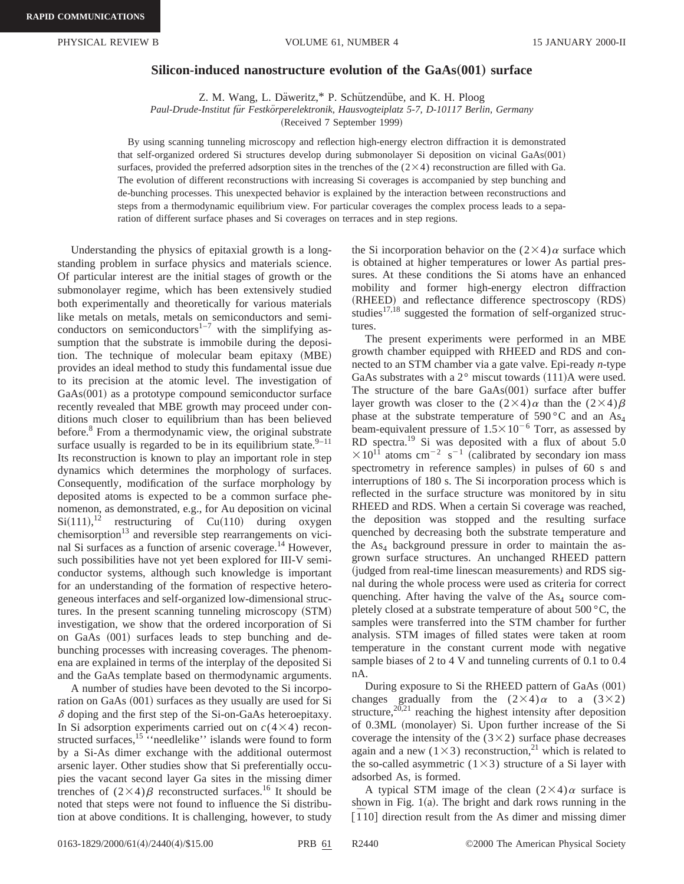## **Silicon-induced nanostructure evolution of the GaAs**"**001**… **surface**

Z. M. Wang, L. Däweritz,\* P. Schützendübe, and K. H. Ploog

Paul-Drude-Institut für Festkörperelektronik, Hausvogteiplatz 5-7, D-10117 Berlin, Germany

(Received 7 September 1999)

By using scanning tunneling microscopy and reflection high-energy electron diffraction it is demonstrated that self-organized ordered Si structures develop during submonolayer Si deposition on vicinal GaAs(001) surfaces, provided the preferred adsorption sites in the trenches of the  $(2\times4)$  reconstruction are filled with Ga. The evolution of different reconstructions with increasing Si coverages is accompanied by step bunching and de-bunching processes. This unexpected behavior is explained by the interaction between reconstructions and steps from a thermodynamic equilibrium view. For particular coverages the complex process leads to a separation of different surface phases and Si coverages on terraces and in step regions.

Understanding the physics of epitaxial growth is a longstanding problem in surface physics and materials science. Of particular interest are the initial stages of growth or the submonolayer regime, which has been extensively studied both experimentally and theoretically for various materials like metals on metals, metals on semiconductors and semiconductors on semiconductors<sup>1–7</sup> with the simplifying assumption that the substrate is immobile during the deposition. The technique of molecular beam epitaxy (MBE) provides an ideal method to study this fundamental issue due to its precision at the atomic level. The investigation of  $GaAs(001)$  as a prototype compound semiconductor surface recently revealed that MBE growth may proceed under conditions much closer to equilibrium than has been believed before.<sup>8</sup> From a thermodynamic view, the original substrate surface usually is regarded to be in its equilibrium state. $9-11$ Its reconstruction is known to play an important role in step dynamics which determines the morphology of surfaces. Consequently, modification of the surface morphology by deposited atoms is expected to be a common surface phenomenon, as demonstrated, e.g., for Au deposition on vicinal  $Si(111),<sup>12</sup>$  restructuring of Cu(110) during oxygen chemisorption<sup>13</sup> and reversible step rearrangements on vicinal Si surfaces as a function of arsenic coverage.<sup>14</sup> However, such possibilities have not yet been explored for III-V semiconductor systems, although such knowledge is important for an understanding of the formation of respective heterogeneous interfaces and self-organized low-dimensional structures. In the present scanning tunneling microscopy (STM) investigation, we show that the ordered incorporation of Si on GaAs (001) surfaces leads to step bunching and debunching processes with increasing coverages. The phenomena are explained in terms of the interplay of the deposited Si and the GaAs template based on thermodynamic arguments.

A number of studies have been devoted to the Si incorporation on GaAs  $(001)$  surfaces as they usually are used for Si  $\delta$  doping and the first step of the Si-on-GaAs heteroepitaxy. In Si adsorption experiments carried out on  $c(4\times4)$  reconstructed surfaces,<sup>15</sup> "needlelike" islands were found to form by a Si-As dimer exchange with the additional outermost arsenic layer. Other studies show that Si preferentially occupies the vacant second layer Ga sites in the missing dimer trenches of  $(2\times4)\beta$  reconstructed surfaces.<sup>16</sup> It should be noted that steps were not found to influence the Si distribution at above conditions. It is challenging, however, to study the Si incorporation behavior on the  $(2\times4)\alpha$  surface which is obtained at higher temperatures or lower As partial pressures. At these conditions the Si atoms have an enhanced mobility and former high-energy electron diffraction (RHEED) and reflectance difference spectroscopy (RDS) studies $17,18$  suggested the formation of self-organized structures.

The present experiments were performed in an MBE growth chamber equipped with RHEED and RDS and connected to an STM chamber via a gate valve. Epi-ready *n*-type GaAs substrates with a  $2^{\circ}$  miscut towards  $(111)$ A were used. The structure of the bare  $GaAs(001)$  surface after buffer layer growth was closer to the  $(2\times4)\alpha$  than the  $(2\times4)\beta$ phase at the substrate temperature of 590 °C and an  $As<sub>4</sub>$ beam-equivalent pressure of  $1.5 \times 10^{-6}$  Torr, as assessed by RD spectra.19 Si was deposited with a flux of about 5.0  $\times 10^{11}$  atoms cm<sup>-2</sup> s<sup>-1</sup> (calibrated by secondary ion mass spectrometry in reference samples) in pulses of 60 s and interruptions of 180 s. The Si incorporation process which is reflected in the surface structure was monitored by in situ RHEED and RDS. When a certain Si coverage was reached, the deposition was stopped and the resulting surface quenched by decreasing both the substrate temperature and the  $As<sub>4</sub>$  background pressure in order to maintain the asgrown surface structures. An unchanged RHEED pattern (judged from real-time linescan measurements) and RDS signal during the whole process were used as criteria for correct quenching. After having the valve of the  $As<sub>4</sub>$  source completely closed at a substrate temperature of about 500 °C, the samples were transferred into the STM chamber for further analysis. STM images of filled states were taken at room temperature in the constant current mode with negative sample biases of 2 to 4 V and tunneling currents of 0.1 to 0.4 nA.

During exposure to Si the RHEED pattern of GaAs (001) changes gradually from the  $(2\times4)\alpha$  to a  $(3\times2)$ structure,<sup>20,21</sup> reaching the highest intensity after deposition of 0.3ML (monolayer) Si. Upon further increase of the Si coverage the intensity of the  $(3\times2)$  surface phase decreases again and a new  $(1\times3)$  reconstruction,<sup>21</sup> which is related to the so-called asymmetric  $(1\times3)$  structure of a Si layer with adsorbed As, is formed.

A typical STM image of the clean  $(2\times4)\alpha$  surface is shown in Fig.  $1(a)$ . The bright and dark rows running in the  $\overline{[110]}$  direction result from the As dimer and missing dimer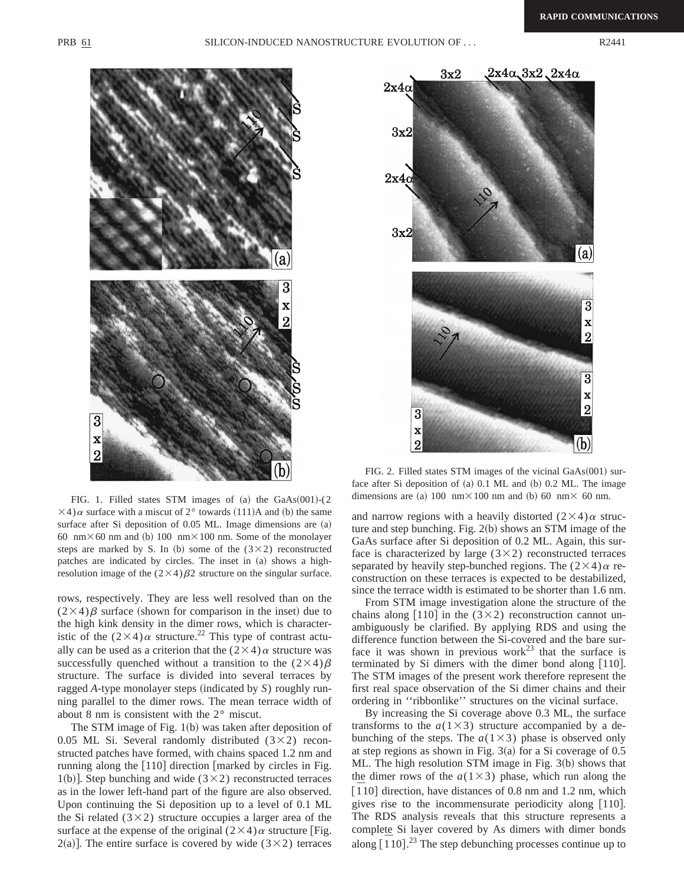

FIG. 1. Filled states STM images of  $(a)$  the GaAs $(001)-(2)$  $\times$ 4) $\alpha$  surface with a miscut of 2° towards (111)A and (b) the same surface after Si deposition of  $0.05$  ML. Image dimensions are  $(a)$ 60 nm $\times$  60 nm and (b) 100 nm $\times$ 100 nm. Some of the monolayer steps are marked by S. In (b) some of the  $(3\times2)$  reconstructed patches are indicated by circles. The inset in (a) shows a highresolution image of the  $(2\times4)\beta2$  structure on the singular surface.

rows, respectively. They are less well resolved than on the  $(2\times4)\beta$  surface (shown for comparison in the inset) due to the high kink density in the dimer rows, which is characteristic of the  $(2\times4)\alpha$  structure.<sup>22</sup> This type of contrast actually can be used as a criterion that the  $(2\times4)\alpha$  structure was successfully quenched without a transition to the  $(2\times4)\beta$ structure. The surface is divided into several terraces by ragged *A*-type monolayer steps (indicated by *S*) roughly running parallel to the dimer rows. The mean terrace width of about 8 nm is consistent with the 2° miscut.

The STM image of Fig.  $1(b)$  was taken after deposition of 0.05 ML Si. Several randomly distributed  $(3\times2)$  reconstructed patches have formed, with chains spaced 1.2 nm and running along the  $[110]$  direction  $[marked$  by circles in Fig. 1(b)]. Step bunching and wide ( $3\times2$ ) reconstructed terraces as in the lower left-hand part of the figure are also observed. Upon continuing the Si deposition up to a level of 0.1 ML the Si related  $(3\times2)$  structure occupies a larger area of the surface at the expense of the original  $(2\times4)\alpha$  structure [Fig.  $2(a)$ ]. The entire surface is covered by wide (3×2) terraces



FIG. 2. Filled states STM images of the vicinal  $GaAs(001)$  surface after Si deposition of  $(a)$  0.1 ML and  $(b)$  0.2 ML. The image dimensions are (a) 100 nm $\times$ 100 nm and (b) 60 nm $\times$  60 nm.

and narrow regions with a heavily distorted  $(2\times4)\alpha$  structure and step bunching. Fig.  $2(b)$  shows an STM image of the GaAs surface after Si deposition of 0.2 ML. Again, this surface is characterized by large  $(3\times2)$  reconstructed terraces separated by heavily step-bunched regions. The  $(2\times4)\alpha$  reconstruction on these terraces is expected to be destabilized, since the terrace width is estimated to be shorter than 1.6 nm.

From STM image investigation alone the structure of the chains along [110] in the  $(3\times2)$  reconstruction cannot unambiguously be clarified. By applying RDS and using the difference function between the Si-covered and the bare surface it was shown in previous work $^{23}$  that the surface is terminated by Si dimers with the dimer bond along  $[110]$ . The STM images of the present work therefore represent the first real space observation of the Si dimer chains and their ordering in ''ribbonlike'' structures on the vicinal surface.

By increasing the Si coverage above 0.3 ML, the surface transforms to the  $a(1\times3)$  structure accompanied by a debunching of the steps. The  $a(1\times3)$  phase is observed only at step regions as shown in Fig.  $3(a)$  for a Si coverage of 0.5 ML. The high resolution STM image in Fig.  $3(b)$  shows that the dimer rows of the  $a(1\times3)$  phase, which run along the  $\overline{[110]}$  direction, have distances of 0.8 nm and 1.2 nm, which gives rise to the incommensurate periodicity along  $[110]$ . The RDS analysis reveals that this structure represents a complete Si layer covered by As dimers with dimer bonds along  $\left[110\right]$ <sup>23</sup>. The step debunching processes continue up to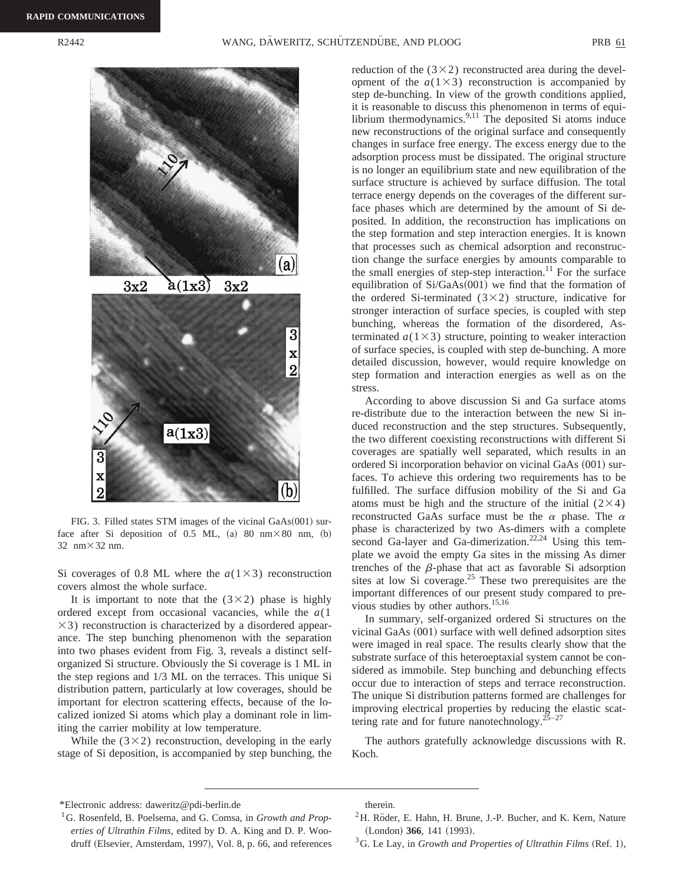

FIG. 3. Filled states STM images of the vicinal  $GaAs(001)$  surface after Si deposition of 0.5 ML, (a) 80 nm $\times$ 80 nm, (b) 32 nm $\times$ 32 nm.

Si coverages of 0.8 ML where the  $a(1\times3)$  reconstruction covers almost the whole surface.

It is important to note that the  $(3\times2)$  phase is highly ordered except from occasional vacancies, while the *a*(1  $\times$ 3) reconstruction is characterized by a disordered appearance. The step bunching phenomenon with the separation into two phases evident from Fig. 3, reveals a distinct selforganized Si structure. Obviously the Si coverage is 1 ML in the step regions and 1/3 ML on the terraces. This unique Si distribution pattern, particularly at low coverages, should be important for electron scattering effects, because of the localized ionized Si atoms which play a dominant role in limiting the carrier mobility at low temperature.

While the  $(3\times2)$  reconstruction, developing in the early stage of Si deposition, is accompanied by step bunching, the reduction of the  $(3\times2)$  reconstructed area during the development of the  $a(1\times3)$  reconstruction is accompanied by step de-bunching. In view of the growth conditions applied, it is reasonable to discuss this phenomenon in terms of equilibrium thermodynamics. $9,11$  The deposited Si atoms induce new reconstructions of the original surface and consequently changes in surface free energy. The excess energy due to the adsorption process must be dissipated. The original structure is no longer an equilibrium state and new equilibration of the surface structure is achieved by surface diffusion. The total terrace energy depends on the coverages of the different surface phases which are determined by the amount of Si deposited. In addition, the reconstruction has implications on the step formation and step interaction energies. It is known that processes such as chemical adsorption and reconstruction change the surface energies by amounts comparable to the small energies of step-step interaction.<sup>11</sup> For the surface equilibration of  $Si/GaAs(001)$  we find that the formation of the ordered Si-terminated  $(3\times2)$  structure, indicative for stronger interaction of surface species, is coupled with step bunching, whereas the formation of the disordered, Asterminated  $a(1\times3)$  structure, pointing to weaker interaction of surface species, is coupled with step de-bunching. A more detailed discussion, however, would require knowledge on step formation and interaction energies as well as on the stress.

According to above discussion Si and Ga surface atoms re-distribute due to the interaction between the new Si induced reconstruction and the step structures. Subsequently, the two different coexisting reconstructions with different Si coverages are spatially well separated, which results in an ordered Si incorporation behavior on vicinal GaAs  $(001)$  surfaces. To achieve this ordering two requirements has to be fulfilled. The surface diffusion mobility of the Si and Ga atoms must be high and the structure of the initial  $(2\times4)$ reconstructed GaAs surface must be the  $\alpha$  phase. The  $\alpha$ phase is characterized by two As-dimers with a complete second Ga-layer and Ga-dimerization.<sup>22,24</sup> Using this template we avoid the empty Ga sites in the missing As dimer trenches of the  $\beta$ -phase that act as favorable Si adsorption sites at low Si coverage.<sup>25</sup> These two prerequisites are the important differences of our present study compared to previous studies by other authors.<sup>15,16</sup>

In summary, self-organized ordered Si structures on the vicinal GaAs  $(001)$  surface with well defined adsorption sites were imaged in real space. The results clearly show that the substrate surface of this heteroeptaxial system cannot be considered as immobile. Step bunching and debunching effects occur due to interaction of steps and terrace reconstruction. The unique Si distribution patterns formed are challenges for improving electrical properties by reducing the elastic scattering rate and for future nanotechnology. $25-27$ 

The authors gratefully acknowledge discussions with R. Koch.

- ${}^{2}$ H. Röder, E. Hahn, H. Brune, J.-P. Bucher, and K. Kern, Nature (London) 366, 141 (1993).
- $3$ G. Le Lay, in *Growth and Properties of Ultrathin Films* (Ref. 1),

<sup>\*</sup>Electronic address: daweritz@pdi-berlin.de

<sup>1</sup>G. Rosenfeld, B. Poelsema, and G. Comsa, in *Growth and Properties of Ultrathin Films*, edited by D. A. King and D. P. Woodruff (Elsevier, Amsterdam, 1997), Vol. 8, p. 66, and references

therein.